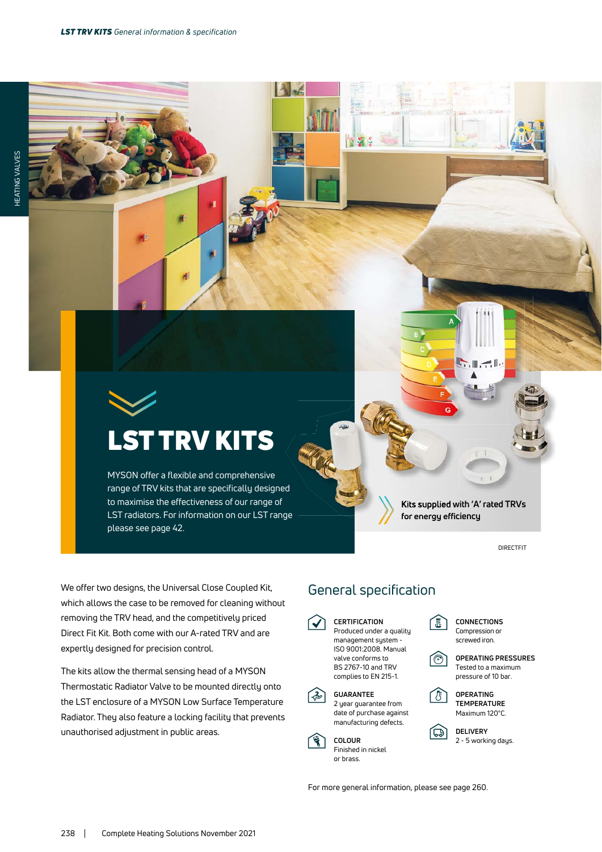$\left| \cdot \right|$ 

# LST TRV KITS

MYSON offer a flexible and comprehensive range of TRV kits that are specifically designed to maximise the effectiveness of our range of LST radiators. For information on our LST range please see page 42.

**Kits supplied with 'A' rated TRVs for energy efficiency**

 $\mathbb{H}$   $\mathbb{H}$ 

**DIRECTEIT** 

We offer two designs, the Universal Close Coupled Kit, which allows the case to be removed for cleaning without removing the TRV head, and the competitively priced Direct Fit Kit. Both come with our A-rated TRV and are expertly designed for precision control.

The kits allow the thermal sensing head of a MYSON Thermostatic Radiator Valve to be mounted directly onto the LST enclosure of a MYSON Low Surface Temperature Radiator. They also feature a locking facility that prevents unauthorised adjustment in public areas.

## General specification

**CERTIFICATION** Produced under a quality management system - ISO 9001:2008. Manual valve conforms to BS 2767-10 and TRV complies to EN 215-1. **GUARANTEE**



**COLOUR** Finished in nickel or brass.



にい





**OPERATING TEMPERATURE** Maximum 120°C.

**DELIVERY** 2 - 5 working days.

For more general information, please see page 260.